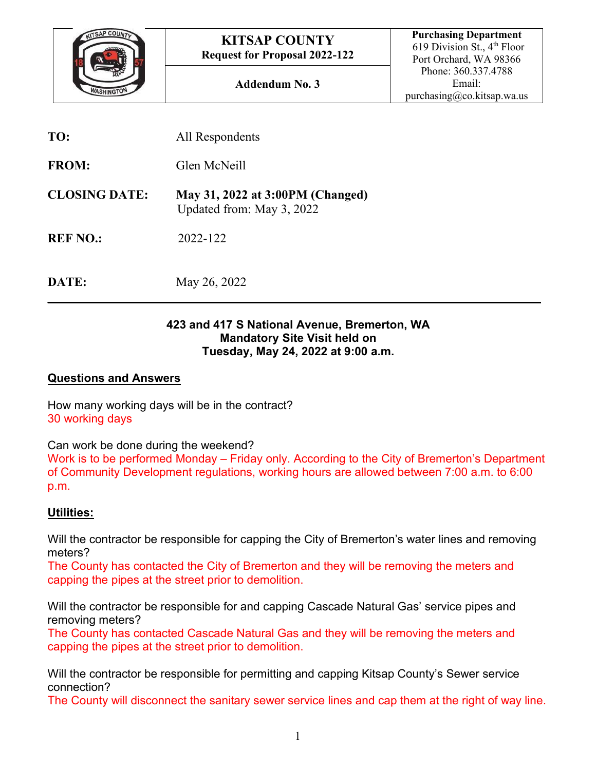

| TO:                  | All Respondents                                               |
|----------------------|---------------------------------------------------------------|
| <b>FROM:</b>         | Glen McNeill                                                  |
| <b>CLOSING DATE:</b> | May 31, 2022 at 3:00PM (Changed)<br>Updated from: May 3, 2022 |
| <b>REF NO.:</b>      | 2022-122                                                      |
|                      |                                                               |

**DATE:** May 26, 2022

#### **423 and 417 S National Avenue, Bremerton, WA Mandatory Site Visit held on Tuesday, May 24, 2022 at 9:00 a.m.**

**\_\_\_\_\_\_\_\_\_\_\_\_\_\_\_\_\_\_\_\_\_\_\_\_\_\_\_\_\_\_\_\_\_\_\_\_\_\_\_\_\_\_\_\_\_\_\_\_\_\_\_\_\_\_\_\_\_\_\_\_\_\_\_\_\_\_\_\_\_\_\_\_\_\_\_\_\_\_**

#### **Questions and Answers**

How many working days will be in the contract? 30 working days

Can work be done during the weekend?

Work is to be performed Monday – Friday only. According to the City of Bremerton's Department of Community Development regulations, working hours are allowed between 7:00 a.m. to 6:00 p.m.

## **Utilities:**

Will the contractor be responsible for capping the City of Bremerton's water lines and removing meters?

The County has contacted the City of Bremerton and they will be removing the meters and capping the pipes at the street prior to demolition.

Will the contractor be responsible for and capping Cascade Natural Gas' service pipes and removing meters?

The County has contacted Cascade Natural Gas and they will be removing the meters and capping the pipes at the street prior to demolition.

Will the contractor be responsible for permitting and capping Kitsap County's Sewer service connection?

The County will disconnect the sanitary sewer service lines and cap them at the right of way line.